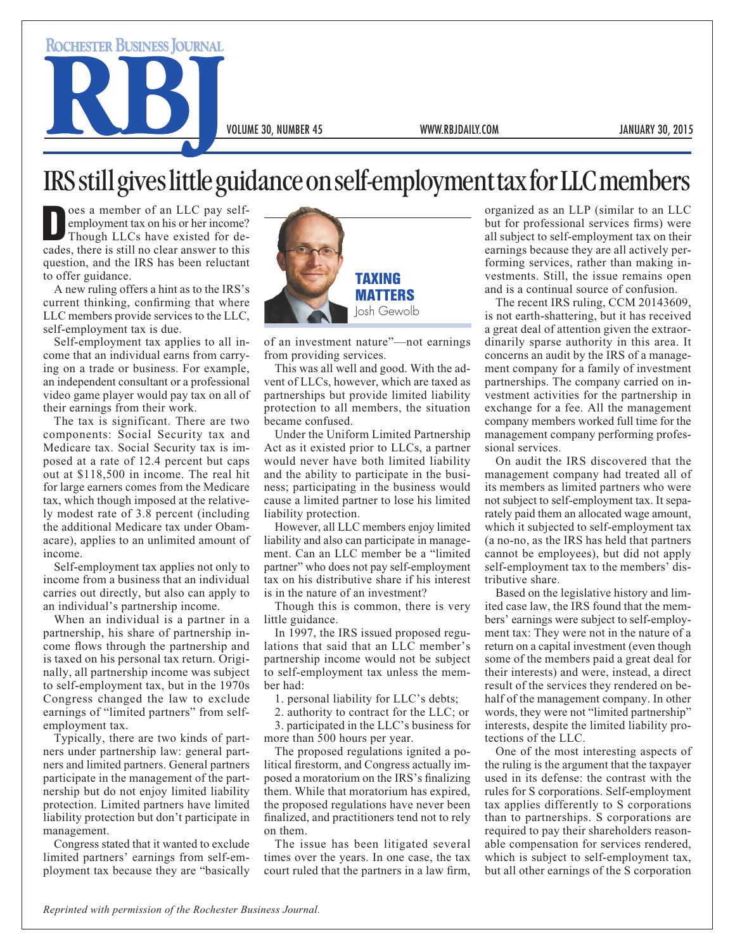**ROCHESTER BUSINESS JOURNAL** 

VOLUME 30, NUMBER 45 WWW.RBJDAILY.COM JANUARY 30, 2015

## IRS still gives little guidance on self-employment tax for LLC members

Oes a member of an LLC pay self-<br>
employment tax on his or her income?<br>
Though LLCs have existed for de-<br>
cades there is still no clear answer to this employment tax on his or her income? cades, there is still no clear answer to this question, and the IRS has been reluctant to offer guidance.

A new ruling offers a hint as to the IRS's current thinking, confirming that where LLC members provide services to the LLC, self-employment tax is due.

Self-employment tax applies to all income that an individual earns from carrying on a trade or business. For example, an independent consultant or a professional video game player would pay tax on all of their earnings from their work.

The tax is significant. There are two components: Social Security tax and Medicare tax. Social Security tax is imposed at a rate of 12.4 percent but caps out at \$118,500 in income. The real hit for large earners comes from the Medicare tax, which though imposed at the relatively modest rate of 3.8 percent (including the additional Medicare tax under Obamacare), applies to an unlimited amount of income.

Self-employment tax applies not only to income from a business that an individual carries out directly, but also can apply to an individual's partnership income.

When an individual is a partner in a partnership, his share of partnership income flows through the partnership and is taxed on his personal tax return. Originally, all partnership income was subject to self-employment tax, but in the 1970s Congress changed the law to exclude earnings of "limited partners" from selfemployment tax.

Typically, there are two kinds of partners under partnership law: general partners and limited partners. General partners participate in the management of the partnership but do not enjoy limited liability protection. Limited partners have limited liability protection but don't participate in management.

Congress stated that it wanted to exclude limited partners' earnings from self-employment tax because they are "basically



of an investment nature"—not earnings from providing services.

This was all well and good. With the advent of LLCs, however, which are taxed as partnerships but provide limited liability protection to all members, the situation became confused.

Under the Uniform Limited Partnership Act as it existed prior to LLCs, a partner would never have both limited liability and the ability to participate in the business; participating in the business would cause a limited partner to lose his limited liability protection.

However, all LLC members enjoy limited liability and also can participate in management. Can an LLC member be a "limited partner" who does not pay self-employment tax on his distributive share if his interest is in the nature of an investment?

Though this is common, there is very little guidance.

In 1997, the IRS issued proposed regulations that said that an LLC member's partnership income would not be subject to self-employment tax unless the member had:

1. personal liability for LLC's debts;

2. authority to contract for the LLC; or

3. participated in the LLC's business for more than 500 hours per year.

The proposed regulations ignited a political firestorm, and Congress actually imposed a moratorium on the IRS's finalizing them. While that moratorium has expired, the proposed regulations have never been finalized, and practitioners tend not to rely on them.

The issue has been litigated several times over the years. In one case, the tax court ruled that the partners in a law firm, organized as an LLP (similar to an LLC but for professional services firms) were all subject to self-employment tax on their earnings because they are all actively performing services, rather than making investments. Still, the issue remains open and is a continual source of confusion.

The recent IRS ruling, CCM 20143609, is not earth-shattering, but it has received a great deal of attention given the extraordinarily sparse authority in this area. It concerns an audit by the IRS of a management company for a family of investment partnerships. The company carried on investment activities for the partnership in exchange for a fee. All the management company members worked full time for the management company performing professional services.

On audit the IRS discovered that the management company had treated all of its members as limited partners who were not subject to self-employment tax. It separately paid them an allocated wage amount, which it subjected to self-employment tax (a no-no, as the IRS has held that partners cannot be employees), but did not apply self-employment tax to the members' distributive share.

Based on the legislative history and limited case law, the IRS found that the members' earnings were subject to self-employment tax: They were not in the nature of a return on a capital investment (even though some of the members paid a great deal for their interests) and were, instead, a direct result of the services they rendered on behalf of the management company. In other words, they were not "limited partnership" interests, despite the limited liability protections of the LLC.

One of the most interesting aspects of the ruling is the argument that the taxpayer used in its defense: the contrast with the rules for S corporations. Self-employment tax applies differently to S corporations than to partnerships. S corporations are required to pay their shareholders reasonable compensation for services rendered, which is subject to self-employment tax, but all other earnings of the S corporation

*Reprinted with permission of the Rochester Business Journal.*